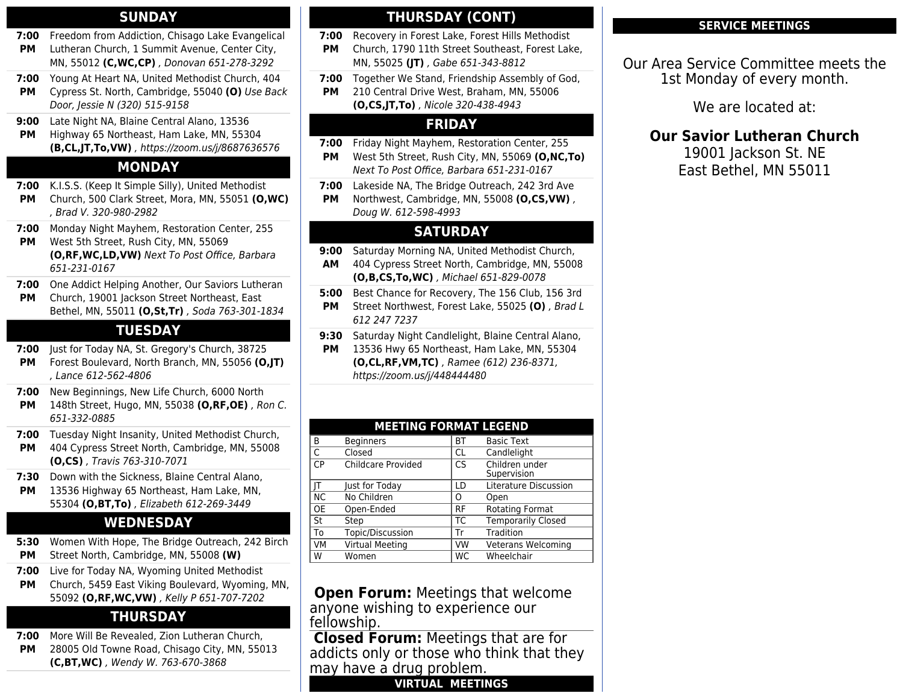#### **SUNDAY**

- **7:00** Freedom from Addiction, Chisago Lake Evangelical **PM** Lutheran Church, 1 Summit Avenue, Center City, MN, 55012 **(C,WC,CP)** , Donovan 651-278-3292
- **7:00** Young At Heart NA, United Methodist Church, 404
- **PM** Cypress St. North, Cambridge, 55040 **(O)** Use Back Door, Jessie N (320) 515-9158
- **9:00** Late Night NA, Blaine Central Alano, 13536
- **PM** Highway 65 Northeast, Ham Lake, MN, 55304 **(B,CL,JT,To,VW)** , https://zoom.us/j/8687636576

#### **MONDAY**

- **7:00** K.I.S.S. (Keep It Simple Silly), United Methodist
- **PM** Church, 500 Clark Street, Mora, MN, 55051 **(O,WC)** , Brad V. 320-980-2982
- **7:00** Monday Night Mayhem, Restoration Center, 255
- **PM** West 5th Street, Rush City, MN, 55069 **(O,RF,WC,LD,VW)** Next To Post Office, Barbara 651-231-0167
- **7:00** One Addict Helping Another, Our Saviors Lutheran
- **PM** Church, 19001 Jackson Street Northeast, East Bethel, MN, 55011 **(O,St,Tr)** , Soda 763-301-1834

#### **TUESDAY**

- **7:00** Just for Today NA, St. Gregory's Church, 38725
- **PM** Forest Boulevard, North Branch, MN, 55056 **(O,JT)** , Lance 612-562-4806
- **7:00** New Beginnings, New Life Church, 6000 North
- **PM** 148th Street, Hugo, MN, 55038 **(O,RF,OE)** , Ron C. 651-332-0885
- **7:00** Tuesday Night Insanity, United Methodist Church, **PM** 404 Cypress Street North, Cambridge, MN, 55008
	- **(O,CS)** , Travis 763-310-7071
- **7:30** Down with the Sickness, Blaine Central Alano,
- **PM** 13536 Highway 65 Northeast, Ham Lake, MN, 55304 **(O,BT,To)** , Elizabeth 612-269-3449

## **WEDNESDAY**

- **5:30 PM** Women With Hope, The Bridge Outreach, 242 Birch Street North, Cambridge, MN, 55008 **(W)**
- **7:00** Live for Today NA, Wyoming United Methodist
- **PM** Church, 5459 East Viking Boulevard, Wyoming, MN, 55092 **(O,RF,WC,VW)** , Kelly P 651-707-7202

## **THURSDAY**

**7:00** More Will Be Revealed, Zion Lutheran Church,

**PM** 28005 Old Towne Road, Chisago City, MN, 55013 **(C,BT,WC)** , Wendy W. 763-670-3868

## **THURSDAY (CONT)**

- **7:00** Recovery in Forest Lake, Forest Hills Methodist **PM** Church, 1790 11th Street Southeast, Forest Lake, MN, 55025 **(JT)** , Gabe 651-343-8812
- **7:00** Together We Stand, Friendship Assembly of God,
- **PM** 210 Central Drive West, Braham, MN, 55006 **(O,CS,JT,To)** , Nicole 320-438-4943

## **FRIDAY**

- **7:00** Friday Night Mayhem, Restoration Center, 255 **PM** West 5th Street, Rush City, MN, 55069 **(O,NC,To)** Next To Post Office, Barbara 651-231-0167
- **7:00** Lakeside NA, The Bridge Outreach, 242 3rd Ave **PM** Northwest, Cambridge, MN, 55008 **(O,CS,VW)** ,

#### Doug W. 612-598-4993 **SATURDAY**

- **9:00** Saturday Morning NA, United Methodist Church,
- **AM** 404 Cypress Street North, Cambridge, MN, 55008 **(O,B,CS,To,WC)** , Michael 651-829-0078
- **5:00** Best Chance for Recovery, The 156 Club, 156 3rd **PM** Street Northwest, Forest Lake, 55025 **(O)** , Brad L 612 247 7237
- **9:30** Saturday Night Candlelight, Blaine Central Alano,
- **PM** 13536 Hwy 65 Northeast, Ham Lake, MN, 55304 **(O,CL,RF,VM,TC)** , Ramee (612) 236-8371, https://zoom.us/j/448444480

| <b>MEETING FORMAT LEGEND</b> |                    |           |                               |
|------------------------------|--------------------|-----------|-------------------------------|
| B                            | <b>Beginners</b>   | <b>BT</b> | <b>Basic Text</b>             |
| $\mathsf{C}$                 | Closed             | CL        | Candlelight                   |
| C <sub>P</sub>               | Childcare Provided | CS        | Children under<br>Supervision |
|                              | Just for Today     | LD        | Literature Discussion         |
| <b>NC</b>                    | No Children        | O         | Open                          |
| <b>OE</b>                    | Open-Ended         | <b>RF</b> | <b>Rotating Format</b>        |
| St                           | Step               | ТC        | Temporarily Closed            |
| To                           | Topic/Discussion   | Tr        | Tradition                     |
| <b>VM</b>                    | Virtual Meeting    | VW        | Veterans Welcoming            |
| W                            | Women              | WС        | Wheelchair                    |
| ŪΤ                           |                    |           |                               |

 **Open Forum:** Meetings that welcome anyone wishing to experience our fellowship.

**Closed Forum:** Meetings that are for addicts only or those who think that they may have a drug problem.

**VIRTUAL MEETINGS**

#### **SERVICE MEETINGS**

Our Area Service Committee meets the 1st Monday of every month.

We are located at:

**Our Savior Lutheran Church**

19001 Jackson St. NE East Bethel, MN 55011